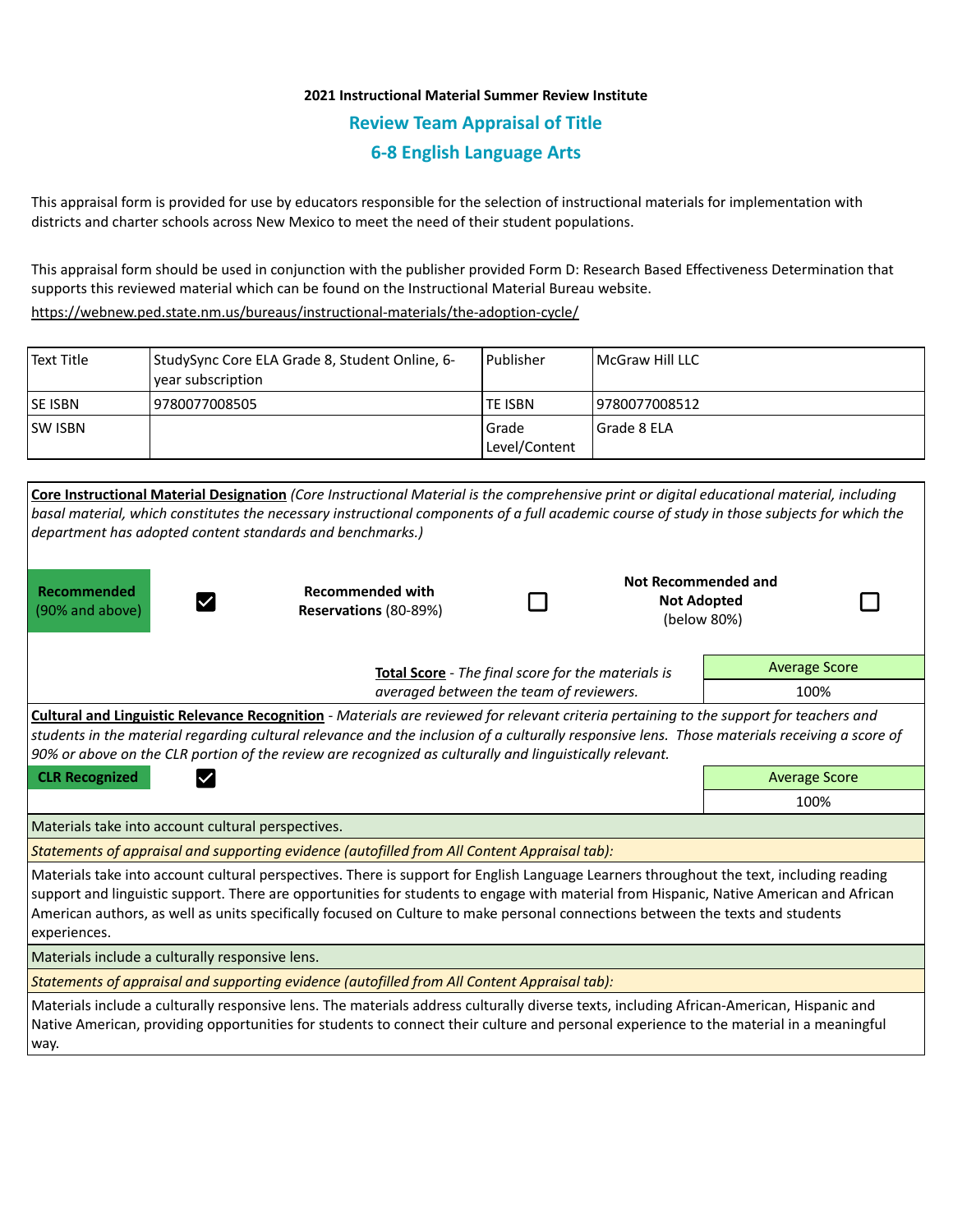## **2021 Instructional Material Summer Review Institute Review Team Appraisal of Title 6-8 English Language Arts**

This appraisal form is provided for use by educators responsible for the selection of instructional materials for implementation with districts and charter schools across New Mexico to meet the need of their student populations.

This appraisal form should be used in conjunction with the publisher provided Form D: Research Based Effectiveness Determination that supports this reviewed material which can be found on the Instructional Material Bureau website.

<https://webnew.ped.state.nm.us/bureaus/instructional-materials/the-adoption-cycle/>

| Text Title     | StudySync Core ELA Grade 8, Student Online, 6-<br>vear subscription | <b>Publisher</b>         | l McGraw Hill LLC |
|----------------|---------------------------------------------------------------------|--------------------------|-------------------|
| <b>SE ISBN</b> | 9780077008505                                                       | TE ISBN                  | 19780077008512    |
| <b>SW ISBN</b> |                                                                     | l Grade<br>Level/Content | l Grade 8 ELA     |

| Core Instructional Material Designation (Core Instructional Material is the comprehensive print or digital educational material, including<br>basal material, which constitutes the necessary instructional components of a full academic course of study in those subjects for which the<br>department has adopted content standards and benchmarks.)                                                                                |                                                  |  |  |                                                          |  |  |  |  |  |
|---------------------------------------------------------------------------------------------------------------------------------------------------------------------------------------------------------------------------------------------------------------------------------------------------------------------------------------------------------------------------------------------------------------------------------------|--------------------------------------------------|--|--|----------------------------------------------------------|--|--|--|--|--|
| Recommended<br>(90% and above)                                                                                                                                                                                                                                                                                                                                                                                                        | <b>Recommended with</b><br>Reservations (80-89%) |  |  | Not Recommended and<br><b>Not Adopted</b><br>(below 80%) |  |  |  |  |  |
| Total Score - The final score for the materials is                                                                                                                                                                                                                                                                                                                                                                                    |                                                  |  |  | <b>Average Score</b>                                     |  |  |  |  |  |
|                                                                                                                                                                                                                                                                                                                                                                                                                                       | 100%                                             |  |  |                                                          |  |  |  |  |  |
| Cultural and Linguistic Relevance Recognition - Materials are reviewed for relevant criteria pertaining to the support for teachers and<br>students in the material regarding cultural relevance and the inclusion of a culturally responsive lens. Those materials receiving a score of<br>90% or above on the CLR portion of the review are recognized as culturally and linguistically relevant.                                   |                                                  |  |  |                                                          |  |  |  |  |  |
| <b>CLR Recognized</b>                                                                                                                                                                                                                                                                                                                                                                                                                 | <b>Average Score</b>                             |  |  |                                                          |  |  |  |  |  |
|                                                                                                                                                                                                                                                                                                                                                                                                                                       | 100%                                             |  |  |                                                          |  |  |  |  |  |
| Materials take into account cultural perspectives.                                                                                                                                                                                                                                                                                                                                                                                    |                                                  |  |  |                                                          |  |  |  |  |  |
| Statements of appraisal and supporting evidence (autofilled from All Content Appraisal tab):                                                                                                                                                                                                                                                                                                                                          |                                                  |  |  |                                                          |  |  |  |  |  |
| Materials take into account cultural perspectives. There is support for English Language Learners throughout the text, including reading<br>support and linguistic support. There are opportunities for students to engage with material from Hispanic, Native American and African<br>American authors, as well as units specifically focused on Culture to make personal connections between the texts and students<br>experiences. |                                                  |  |  |                                                          |  |  |  |  |  |
| Materials include a culturally responsive lens.                                                                                                                                                                                                                                                                                                                                                                                       |                                                  |  |  |                                                          |  |  |  |  |  |
| Statements of appraisal and supporting evidence (autofilled from All Content Appraisal tab):                                                                                                                                                                                                                                                                                                                                          |                                                  |  |  |                                                          |  |  |  |  |  |
| Materials include a culturally responsive lens. The materials address culturally diverse texts, including African-American, Hispanic and<br>Native American, providing opportunities for students to connect their culture and personal experience to the material in a meaningful<br>way.                                                                                                                                            |                                                  |  |  |                                                          |  |  |  |  |  |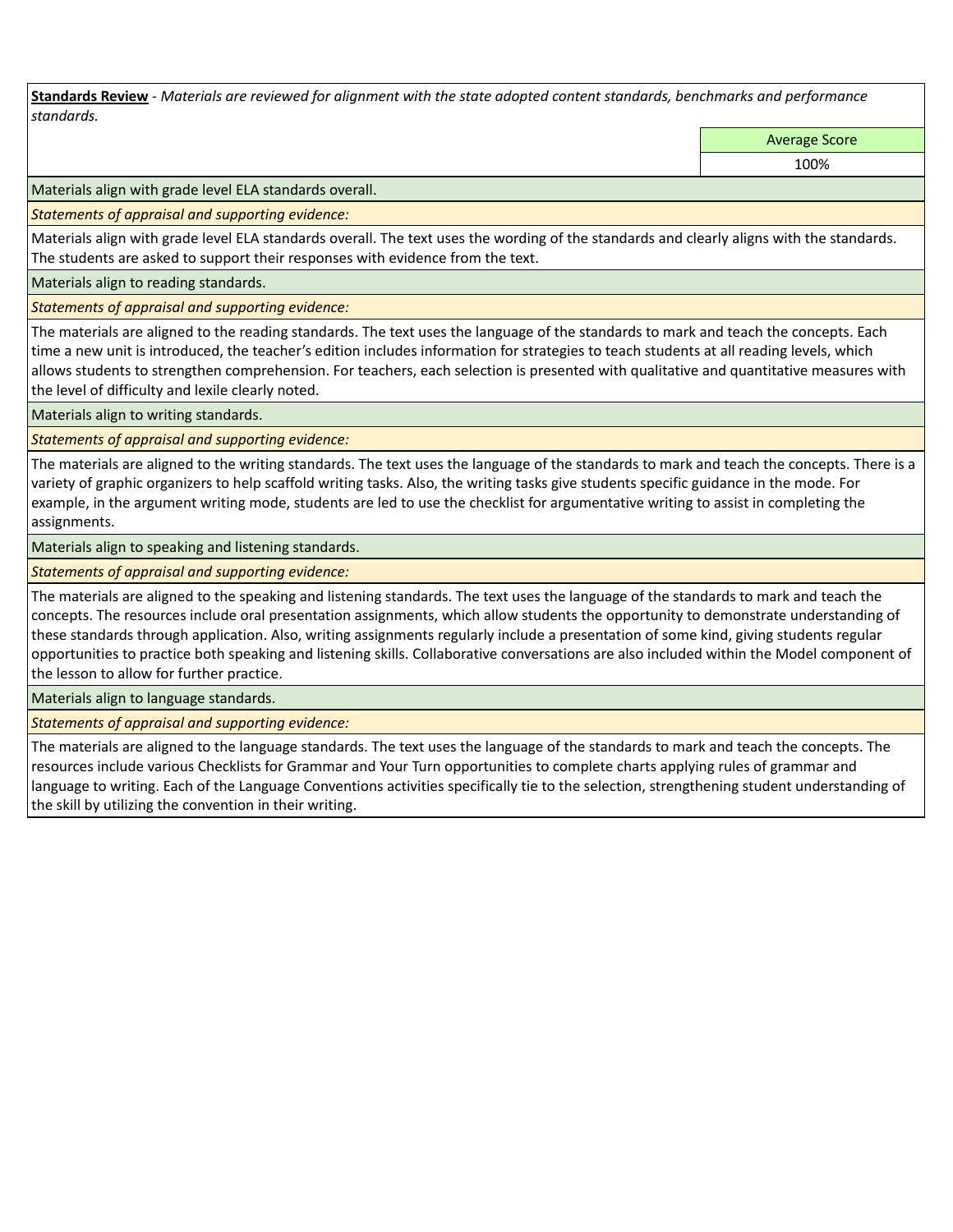**Standards Review** *- Materials are reviewed for alignment with the state adopted content standards, benchmarks and performance standards.*

Average Score

100%

Materials align with grade level ELA standards overall.

*Statements of appraisal and supporting evidence:* 

Materials align with grade level ELA standards overall. The text uses the wording of the standards and clearly aligns with the standards. The students are asked to support their responses with evidence from the text.

Materials align to reading standards.

*Statements of appraisal and supporting evidence:* 

The materials are aligned to the reading standards. The text uses the language of the standards to mark and teach the concepts. Each time a new unit is introduced, the teacher's edition includes information for strategies to teach students at all reading levels, which allows students to strengthen comprehension. For teachers, each selection is presented with qualitative and quantitative measures with the level of difficulty and lexile clearly noted.

Materials align to writing standards.

*Statements of appraisal and supporting evidence:* 

The materials are aligned to the writing standards. The text uses the language of the standards to mark and teach the concepts. There is a variety of graphic organizers to help scaffold writing tasks. Also, the writing tasks give students specific guidance in the mode. For example, in the argument writing mode, students are led to use the checklist for argumentative writing to assist in completing the assignments.

Materials align to speaking and listening standards.

*Statements of appraisal and supporting evidence:* 

The materials are aligned to the speaking and listening standards. The text uses the language of the standards to mark and teach the concepts. The resources include oral presentation assignments, which allow students the opportunity to demonstrate understanding of these standards through application. Also, writing assignments regularly include a presentation of some kind, giving students regular opportunities to practice both speaking and listening skills. Collaborative conversations are also included within the Model component of the lesson to allow for further practice.

Materials align to language standards.

*Statements of appraisal and supporting evidence:* 

The materials are aligned to the language standards. The text uses the language of the standards to mark and teach the concepts. The resources include various Checklists for Grammar and Your Turn opportunities to complete charts applying rules of grammar and language to writing. Each of the Language Conventions activities specifically tie to the selection, strengthening student understanding of the skill by utilizing the convention in their writing.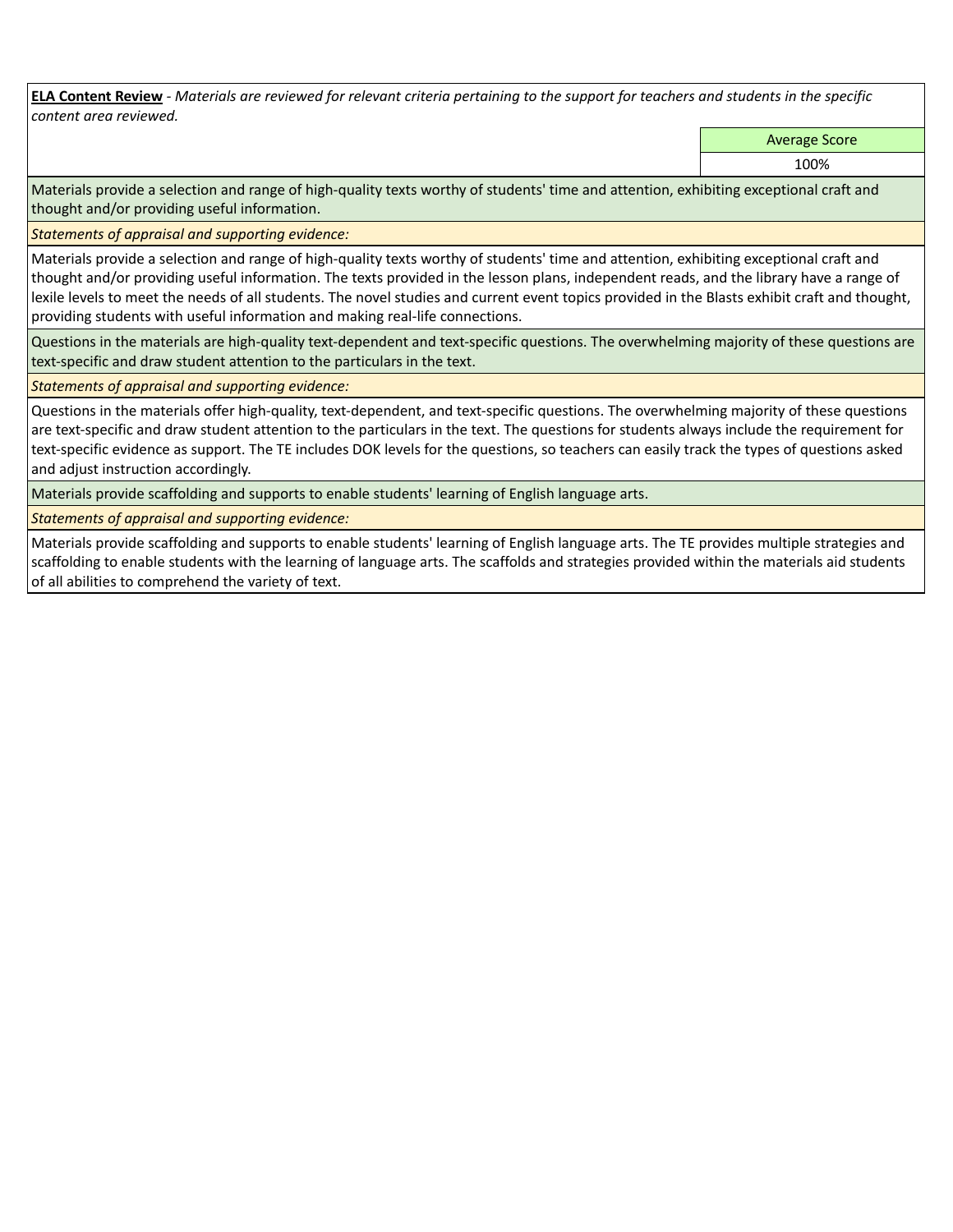**ELA Content Review** *- Materials are reviewed for relevant criteria pertaining to the support for teachers and students in the specific content area reviewed.*

Average Score

100%

Materials provide a selection and range of high-quality texts worthy of students' time and attention, exhibiting exceptional craft and thought and/or providing useful information.

*Statements of appraisal and supporting evidence:* 

Materials provide a selection and range of high-quality texts worthy of students' time and attention, exhibiting exceptional craft and thought and/or providing useful information. The texts provided in the lesson plans, independent reads, and the library have a range of lexile levels to meet the needs of all students. The novel studies and current event topics provided in the Blasts exhibit craft and thought, providing students with useful information and making real-life connections.

Questions in the materials are high-quality text-dependent and text-specific questions. The overwhelming majority of these questions are text-specific and draw student attention to the particulars in the text.

*Statements of appraisal and supporting evidence:* 

Questions in the materials offer high-quality, text-dependent, and text-specific questions. The overwhelming majority of these questions are text-specific and draw student attention to the particulars in the text. The questions for students always include the requirement for text-specific evidence as support. The TE includes DOK levels for the questions, so teachers can easily track the types of questions asked and adjust instruction accordingly.

Materials provide scaffolding and supports to enable students' learning of English language arts.

*Statements of appraisal and supporting evidence:* 

Materials provide scaffolding and supports to enable students' learning of English language arts. The TE provides multiple strategies and scaffolding to enable students with the learning of language arts. The scaffolds and strategies provided within the materials aid students of all abilities to comprehend the variety of text.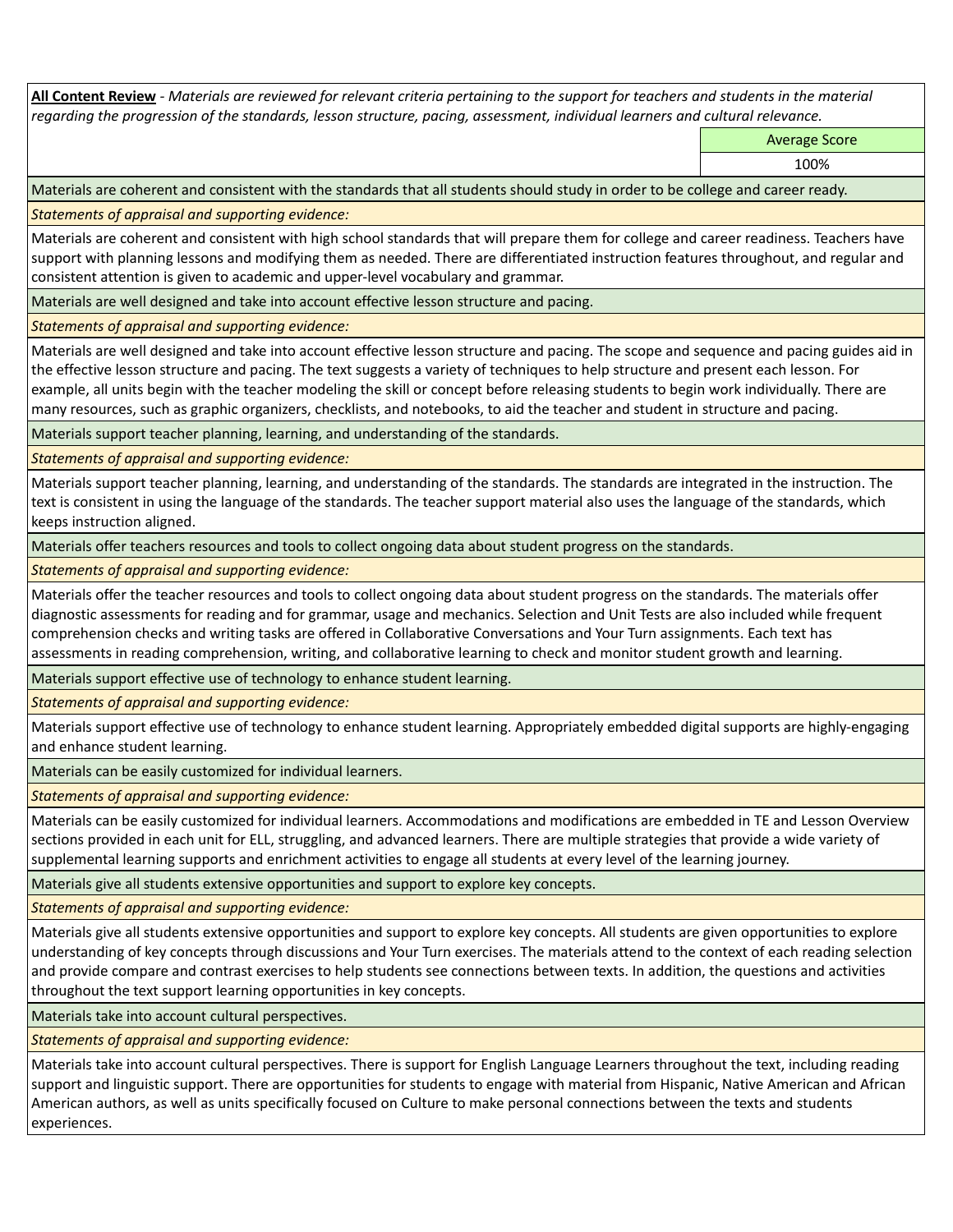**All Content Review** *- Materials are reviewed for relevant criteria pertaining to the support for teachers and students in the material regarding the progression of the standards, lesson structure, pacing, assessment, individual learners and cultural relevance.*

Average Score

100%

Materials are coherent and consistent with the standards that all students should study in order to be college and career ready.

*Statements of appraisal and supporting evidence:*

Materials are coherent and consistent with high school standards that will prepare them for college and career readiness. Teachers have support with planning lessons and modifying them as needed. There are differentiated instruction features throughout, and regular and consistent attention is given to academic and upper-level vocabulary and grammar.

Materials are well designed and take into account effective lesson structure and pacing.

*Statements of appraisal and supporting evidence:*

Materials are well designed and take into account effective lesson structure and pacing. The scope and sequence and pacing guides aid in the effective lesson structure and pacing. The text suggests a variety of techniques to help structure and present each lesson. For example, all units begin with the teacher modeling the skill or concept before releasing students to begin work individually. There are many resources, such as graphic organizers, checklists, and notebooks, to aid the teacher and student in structure and pacing.

Materials support teacher planning, learning, and understanding of the standards.

*Statements of appraisal and supporting evidence:*

Materials support teacher planning, learning, and understanding of the standards. The standards are integrated in the instruction. The text is consistent in using the language of the standards. The teacher support material also uses the language of the standards, which keeps instruction aligned.

Materials offer teachers resources and tools to collect ongoing data about student progress on the standards.

*Statements of appraisal and supporting evidence:*

Materials offer the teacher resources and tools to collect ongoing data about student progress on the standards. The materials offer diagnostic assessments for reading and for grammar, usage and mechanics. Selection and Unit Tests are also included while frequent comprehension checks and writing tasks are offered in Collaborative Conversations and Your Turn assignments. Each text has assessments in reading comprehension, writing, and collaborative learning to check and monitor student growth and learning.

Materials support effective use of technology to enhance student learning.

*Statements of appraisal and supporting evidence:*

Materials support effective use of technology to enhance student learning. Appropriately embedded digital supports are highly-engaging and enhance student learning.

Materials can be easily customized for individual learners.

*Statements of appraisal and supporting evidence:* 

Materials can be easily customized for individual learners. Accommodations and modifications are embedded in TE and Lesson Overview sections provided in each unit for ELL, struggling, and advanced learners. There are multiple strategies that provide a wide variety of supplemental learning supports and enrichment activities to engage all students at every level of the learning journey.

Materials give all students extensive opportunities and support to explore key concepts.

*Statements of appraisal and supporting evidence:*

Materials give all students extensive opportunities and support to explore key concepts. All students are given opportunities to explore understanding of key concepts through discussions and Your Turn exercises. The materials attend to the context of each reading selection and provide compare and contrast exercises to help students see connections between texts. In addition, the questions and activities throughout the text support learning opportunities in key concepts.

Materials take into account cultural perspectives.

*Statements of appraisal and supporting evidence:*

Materials take into account cultural perspectives. There is support for English Language Learners throughout the text, including reading support and linguistic support. There are opportunities for students to engage with material from Hispanic, Native American and African American authors, as well as units specifically focused on Culture to make personal connections between the texts and students experiences.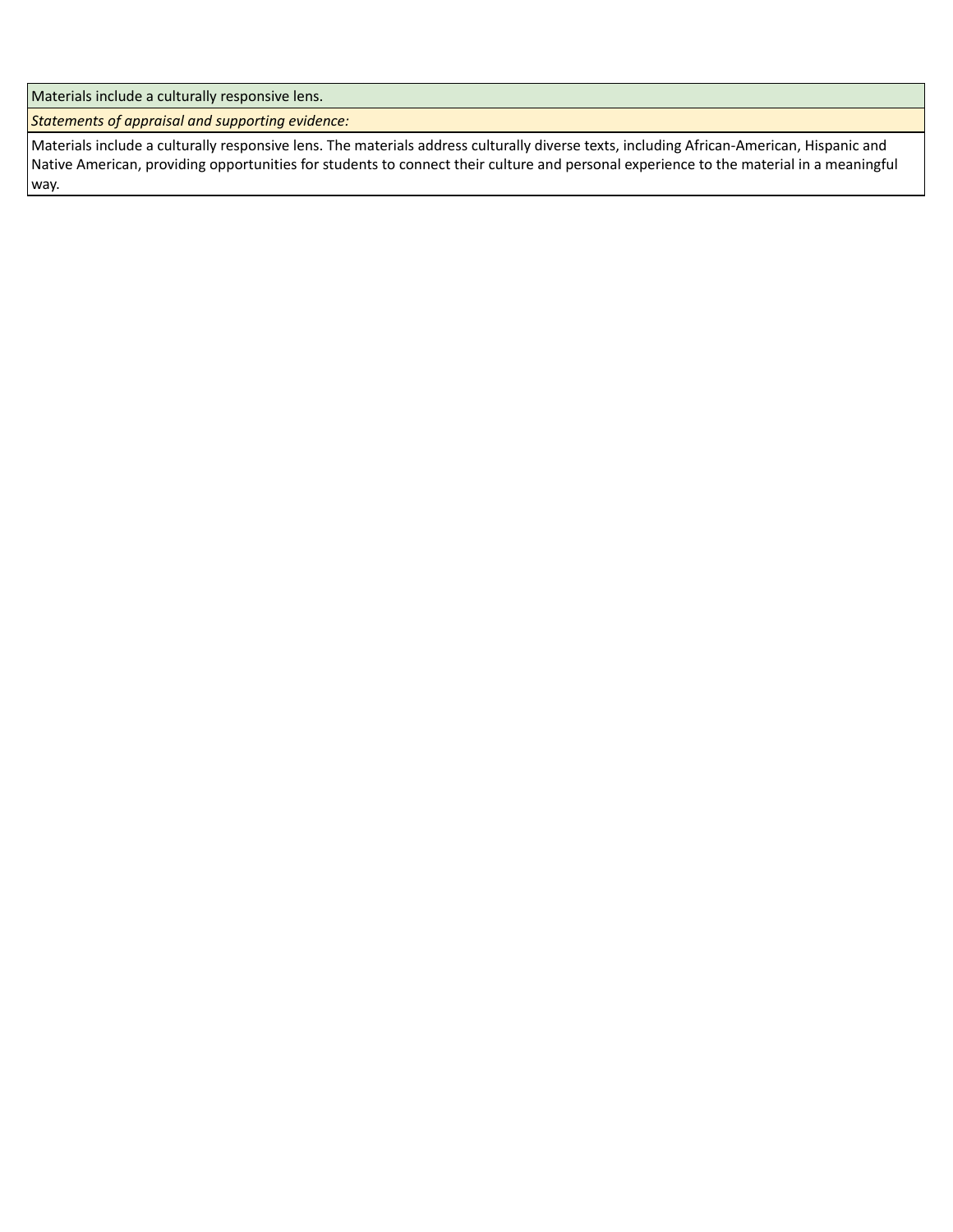Materials include a culturally responsive lens.

*Statements of appraisal and supporting evidence:*

Materials include a culturally responsive lens. The materials address culturally diverse texts, including African-American, Hispanic and Native American, providing opportunities for students to connect their culture and personal experience to the material in a meaningful way.